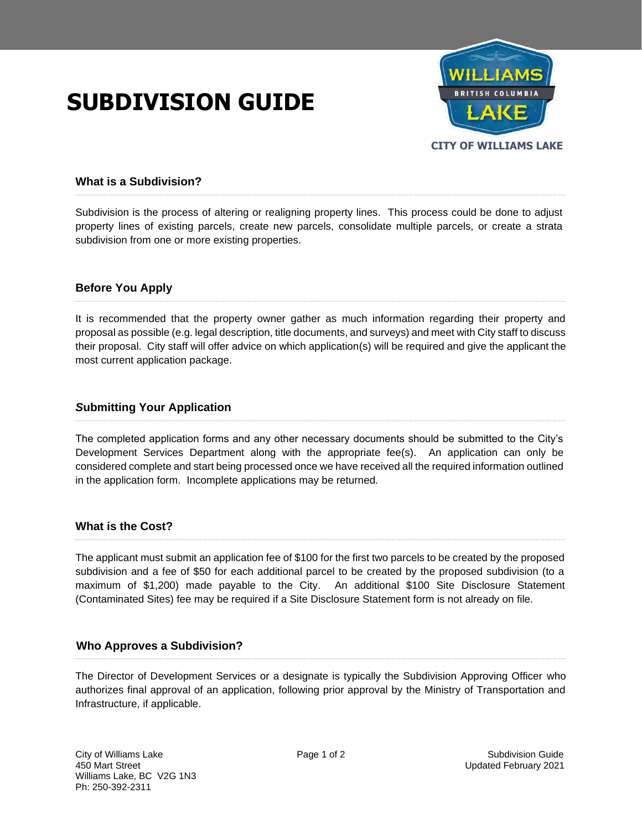# **SUBDIVISION GUIDE**



## **What is a Subdivision?**

Subdivision is the process of altering or realigning property lines. This process could be done to adjust property lines of existing parcels, create new parcels, consolidate multiple parcels, or create a strata subdivision from one or more existing properties.

## **Before You Apply**

It is recommended that the property owner gather as much information regarding their property and proposal as possible (e.g. legal description, title documents, and surveys) and meet with City staff to discuss their proposal. City staff will offer advice on which application(s) will be required and give the applicant the most current application package.

### *S***ubmitting Your Application**

The completed application forms and any other necessary documents should be submitted to the City's Development Services Department along with the appropriate fee(s). An application can only be considered complete and start being processed once we have received all the required information outlined in the application form. Incomplete applications may be returned.

### **What is the Cost?**

The applicant must submit an application fee of \$100 for the first two parcels to be created by the proposed subdivision and a fee of \$50 for each additional parcel to be created by the proposed subdivision (to a maximum of \$1,200) made payable to the City. An additional \$100 Site Disclosure Statement (Contaminated Sites) fee may be required if a Site Disclosure Statement form is not already on file.

### **Who Approves a Subdivision?**

The Director of Development Services or a designate is typically the Subdivision Approving Officer who authorizes final approval of an application, following prior approval by the Ministry of Transportation and Infrastructure, if applicable.